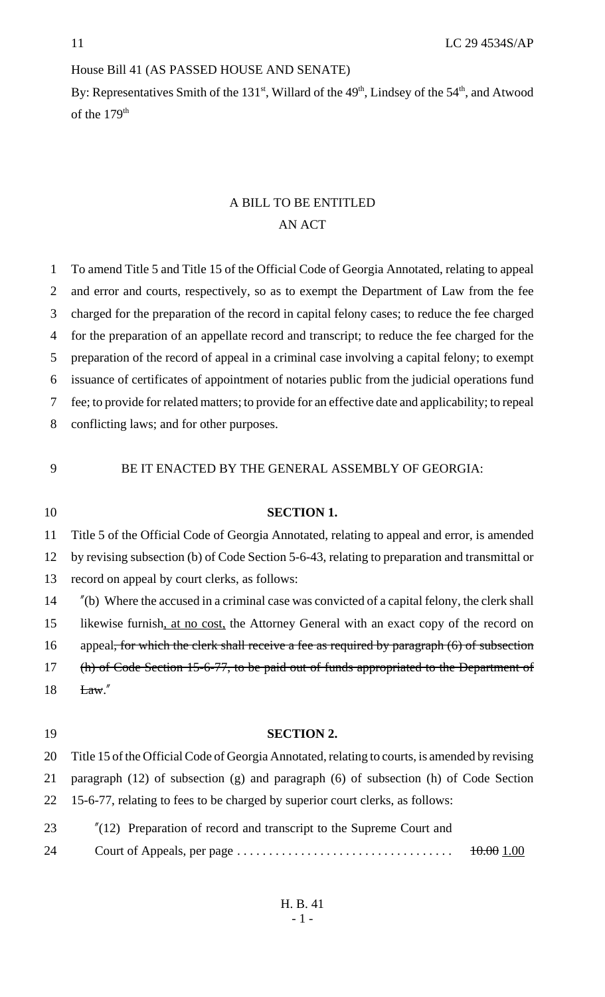## House Bill 41 (AS PASSED HOUSE AND SENATE)

By: Representatives Smith of the  $131<sup>st</sup>$ , Willard of the  $49<sup>th</sup>$ , Lindsey of the  $54<sup>th</sup>$ , and Atwood of the 179<sup>th</sup>

# A BILL TO BE ENTITLED AN ACT

 To amend Title 5 and Title 15 of the Official Code of Georgia Annotated, relating to appeal and error and courts, respectively, so as to exempt the Department of Law from the fee charged for the preparation of the record in capital felony cases; to reduce the fee charged for the preparation of an appellate record and transcript; to reduce the fee charged for the preparation of the record of appeal in a criminal case involving a capital felony; to exempt issuance of certificates of appointment of notaries public from the judicial operations fund fee; to provide for related matters; to provide for an effective date and applicability; to repeal conflicting laws; and for other purposes.

#### BE IT ENACTED BY THE GENERAL ASSEMBLY OF GEORGIA:

**SECTION 1.**

| 1V | <b>DECTION 1.</b>                                                                                      |
|----|--------------------------------------------------------------------------------------------------------|
| 11 | Title 5 of the Official Code of Georgia Annotated, relating to appeal and error, is amended            |
| 12 | by revising subsection (b) of Code Section 5-6-43, relating to preparation and transmittal or          |
| 13 | record on appeal by court clerks, as follows:                                                          |
| 14 | $\degree$ (b) Where the accused in a criminal case was convicted of a capital felony, the clerk shall  |
| 15 | likewise furnish, at no cost, the Attorney General with an exact copy of the record on                 |
| 16 | appeal <del>, for which the clerk shall receive a fee as required by paragraph (6) of subsection</del> |
| 17 | (h) of Code Section 15-6-77, to be paid out of funds appropriated to the Department of                 |
| 18 | $\text{Law}$ ."                                                                                        |
|    |                                                                                                        |
| 19 | <b>SECTION 2.</b>                                                                                      |
| 20 | Title 15 of the Official Code of Georgia Annotated, relating to courts, is amended by revising         |
| 21 | paragraph $(12)$ of subsection $(g)$ and paragraph $(6)$ of subsection $(h)$ of Code Section           |
| 22 | 15-6-77, relating to fees to be charged by superior court clerks, as follows:                          |
| 23 | $''(12)$ Preparation of record and transcript to the Supreme Court and                                 |
| 24 | 10.001.00                                                                                              |